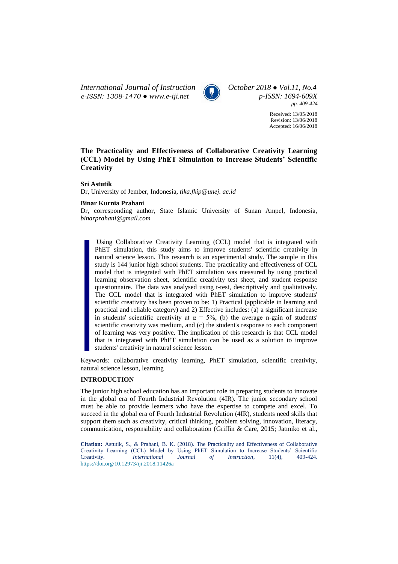*International Journal of Instruction October 2018 ● Vol.11, No.4 e-ISSN: 1308-1470 ● [www.e-iji.net](http://www.e-iji.net/) p-ISSN: 1694-609X*



*pp. 409-424*

Received: 13/05/2018 Revision: 13/06/2018 Accepted: 16/06/2018

# **The Practicality and Effectiveness of Collaborative Creativity Learning (CCL) Model by Using PhET Simulation to Increase Students' Scientific Creativity**

# **Sri Astutik**

Dr, University of Jember, Indonesia, *[tika.fkip@unej. ac.id](mailto:tika.fkip@unej.%20ac.id)*

# **Binar Kurnia Prahani**

Dr, corresponding author, State Islamic University of Sunan Ampel, Indonesia, *binarprahani@gmail.com*

Using Collaborative Creativity Learning (CCL) model that is integrated with PhET simulation, this study aims to improve students' scientific creativity in natural science lesson. This research is an experimental study. The sample in this study is 144 junior high school students. The practicality and effectiveness of CCL model that is integrated with PhET simulation was measured by using practical learning observation sheet, scientific creativity test sheet, and student response questionnaire. The data was analysed using t-test, descriptively and qualitatively. The CCL model that is integrated with PhET simulation to improve students' scientific creativity has been proven to be: 1) Practical (applicable in learning and practical and reliable category) and 2) Effective includes: (a) a significant increase in students' scientific creativity at  $\alpha = 5\%$ , (b) the average n-gain of students' scientific creativity was medium, and (c) the student's response to each component of learning was very positive. The implication of this research is that CCL model that is integrated with PhET simulation can be used as a solution to improve students' creativity in natural science lesson.

Keywords: collaborative creativity learning, PhET simulation, scientific creativity, natural science lesson, learning

# **INTRODUCTION**

The junior high school education has an important role in preparing students to innovate in the global era of Fourth Industrial Revolution (4IR). The junior secondary school must be able to provide learners who have the expertise to compete and excel. To succeed in the global era of Fourth Industrial Revolution (4IR), students need skills that support them such as creativity, critical thinking, problem solving, innovation, literacy, communication, responsibility and collaboration (Griffin & Care, 2015; Jatmiko et al.,

**Citation:** Astutik, S., & Prahani, B. K. (2018). The Practicality and Effectiveness of Collaborative Creativity Learning (CCL) Model by Using PhET Simulation to Increase Students' Scientific<br>Creativity. *International Journal of Instruction*, 11(4), 409-424. Creativity. *International Journal of Instruction*, 11(4), 409-424. <https://doi.org/10.12973/iji.2018.11426a>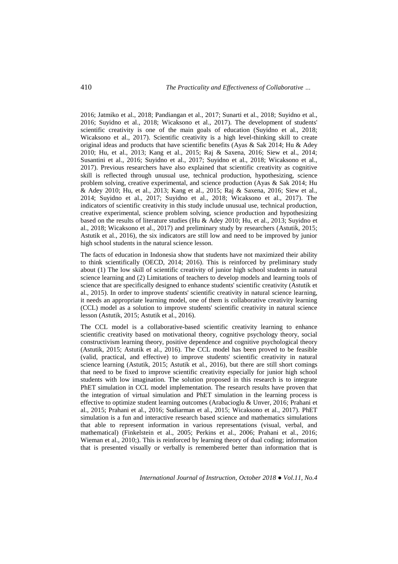2016; Jatmiko et al., 2018; Pandiangan et al., 2017; Sunarti et al., 2018; Suyidno et al., 2016; Suyidno et al., 2018; Wicaksono et al., 2017). The development of students' scientific creativity is one of the main goals of education (Suyidno et al., 2018; Wicaksono et al., 2017). Scientific creativity is a high level-thinking skill to create original ideas and products that have scientific benefits (Ayas & Sak 2014; Hu & Adey 2010; Hu, et al., 2013; Kang et al., 2015; Raj & Saxena, 2016; Siew et al., 2014; Susantini et al., 2016; Suyidno et al., 2017; Suyidno et al., 2018; Wicaksono et al., 2017). Previous researchers have also explained that scientific creativity as cognitive skill is reflected through unusual use, technical production, hypothesizing, science problem solving, creative experimental, and science production (Ayas & Sak 2014; Hu & Adey 2010; Hu, et al., 2013; Kang et al., 2015; Raj & Saxena, 2016; Siew et al., 2014; Suyidno et al., 2017; Suyidno et al., 2018; Wicaksono et al., 2017). The indicators of scientific creativity in this study include unusual use, technical production, creative experimental, science problem solving, science production and hypothesizing based on the results of literature studies (Hu & Adey 2010; Hu, et al., 2013; Suyidno et al., 2018; Wicaksono et al., 2017) and preliminary study by researchers (Astutik, 2015; Astutik et al., 2016), the six indicators are still low and need to be improved by junior high school students in the natural science lesson.

The facts of education in Indonesia show that students have not maximized their ability to think scientifically (OECD, 2014; 2016). This is reinforced by preliminary study about (1) The low skill of scientific creativity of junior high school students in natural science learning and (2) Limitations of teachers to develop models and learning tools of science that are specifically designed to enhance students' scientific creativity (Astutik et al., 2015). In order to improve students' scientific creativity in natural science learning, it needs an appropriate learning model, one of them is collaborative creativity learning (CCL) model as a solution to improve students' scientific creativity in natural science lesson (Astutik, 2015; Astutik et al., 2016).

The CCL model is a collaborative-based scientific creativity learning to enhance scientific creativity based on motivational theory, cognitive psychology theory, social constructivism learning theory, positive dependence and cognitive psychological theory (Astutik, 2015; Astutik et al., 2016). The CCL model has been proved to be feasible (valid, practical, and effective) to improve students' scientific creativity in natural science learning (Astutik, 2015; Astutik et al., 2016), but there are still short comings that need to be fixed to improve scientific creativity especially for junior high school students with low imagination. The solution proposed in this research is to integrate PhET simulation in CCL model implementation. The research results have proven that the integration of virtual simulation and PhET simulation in the learning process is effective to optimize student learning outcomes (Arabacioglu & Unver, 2016; Prahani et al., 2015; Prahani et al., 2016; Sudiarman et al., 2015; Wicaksono et al., 2017). PhET simulation is a fun and interactive research based science and mathematics simulations that able to represent information in various representations (visual, verbal, and mathematical) (Finkelstein et al., 2005; Perkins et al., 2006; Prahani et al., 2016; Wieman et al., 2010;). This is reinforced by learning theory of dual coding; information that is presented visually or verbally is remembered better than information that is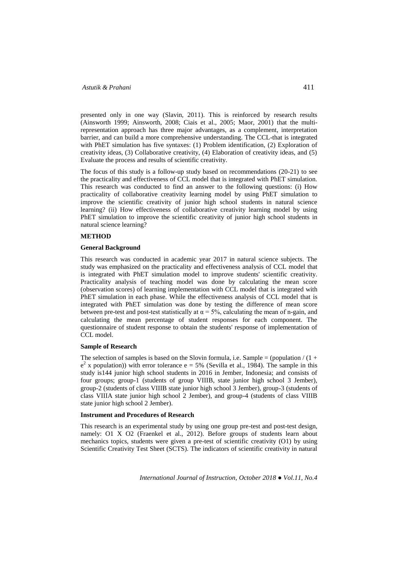presented only in one way (Slavin, 2011). This is reinforced by research results (Ainsworth 1999; Ainsworth, 2008; Ciais et al., 2005; Maor, 2001) that the multirepresentation approach has three major advantages, as a complement, interpretation barrier, and can build a more comprehensive understanding. The CCL-that is integrated with PhET simulation has five syntaxes: (1) Problem identification, (2) Exploration of creativity ideas, (3) Collaborative creativity, (4) Elaboration of creativity ideas, and (5) Evaluate the process and results of scientific creativity.

The focus of this study is a follow-up study based on recommendations (20-21) to see the practicality and effectiveness of CCL model that is integrated with PhET simulation. This research was conducted to find an answer to the following questions: (i) How practicality of collaborative creativity learning model by using PhET simulation to improve the scientific creativity of junior high school students in natural science learning? (ii) How effectiveness of collaborative creativity learning model by using PhET simulation to improve the scientific creativity of junior high school students in natural science learning?

# **METHOD**

### **General Background**

This research was conducted in academic year 2017 in natural science subjects. The study was emphasized on the practicality and effectiveness analysis of CCL model that is integrated with PhET simulation model to improve students' scientific creativity. Practicality analysis of teaching model was done by calculating the mean score (observation scores) of learning implementation with CCL model that is integrated with PhET simulation in each phase. While the effectiveness analysis of CCL model that is integrated with PhET simulation was done by testing the difference of mean score between pre-test and post-test statistically at  $\alpha = 5\%$ , calculating the mean of n-gain, and calculating the mean percentage of student responses for each component. The questionnaire of student response to obtain the students' response of implementation of CCL model.

### **Sample of Research**

The selection of samples is based on the Slovin formula, i.e. Sample = (population  $/(1 +$  $e^2$  x population)) with error tolerance  $e = 5\%$  (Sevilla et al., 1984). The sample in this study is144 junior high school students in 2016 in Jember, Indonesia; and consists of four groups; group-1 (students of group VIIIB, state junior high school 3 Jember), group-2 (students of class VIIIB state junior high school 3 Jember), group-3 (students of class VIIIA state junior high school 2 Jember), and group-4 (students of class VIIIB state junior high school 2 Jember).

# **Instrument and Procedures of Research**

This research is an experimental study by using one group pre-test and post-test design, namely: O1 X O2 (Fraenkel et al., 2012). Before groups of students learn about mechanics topics, students were given a pre-test of scientific creativity (O1) by using Scientific Creativity Test Sheet (SCTS). The indicators of scientific creativity in natural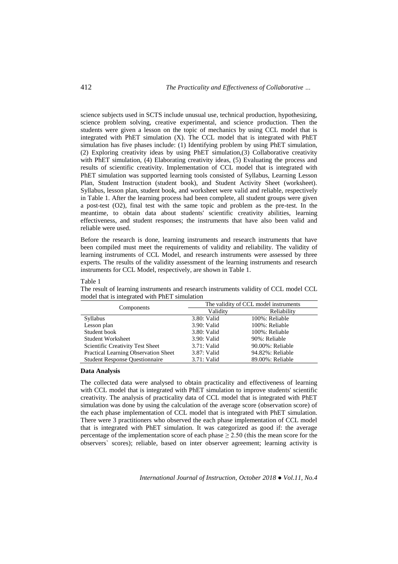science subjects used in SCTS include unusual use, technical production, hypothesizing, science problem solving, creative experimental, and science production. Then the students were given a lesson on the topic of mechanics by using CCL model that is integrated with PhET simulation (X). The CCL model that is integrated with PhET simulation has five phases include: (1) Identifying problem by using PhET simulation, (2) Exploring creativity ideas by using PhET simulation,(3) Collaborative creativity with PhET simulation, (4) Elaborating creativity ideas, (5) Evaluating the process and results of scientific creativity. Implementation of CCL model that is integrated with PhET simulation was supported learning tools consisted of Syllabus, Learning Lesson Plan, Student Instruction (student book), and Student Activity Sheet (worksheet). Syllabus, lesson plan, student book, and worksheet were valid and reliable, respectively in Table 1. After the learning process had been complete, all student groups were given a post-test (O2), final test with the same topic and problem as the pre-test. In the meantime, to obtain data about students' scientific creativity abilities, learning effectiveness, and student responses; the instruments that have also been valid and reliable were used.

Before the research is done, learning instruments and research instruments that have been compiled must meet the requirements of validity and reliability. The validity of learning instruments of CCL Model, and research instruments were assessed by three experts. The results of the validity assessment of the learning instruments and research instruments for CCL Model, respectively, are shown in Table 1.

#### Table 1

The result of learning instruments and research instruments validity of CCL model CCL model that is integrated with PhET simulation

| Components                            | The validity of CCL model instruments |                  |  |  |  |  |  |  |
|---------------------------------------|---------------------------------------|------------------|--|--|--|--|--|--|
|                                       | Validity                              | Reliability      |  |  |  |  |  |  |
| Syllabus                              | 3.80: Valid                           | 100%: Reliable   |  |  |  |  |  |  |
| Lesson plan                           | 3.90: Valid                           | 100%: Reliable   |  |  |  |  |  |  |
| Student book                          | 3.80: Valid                           | 100%: Reliable   |  |  |  |  |  |  |
| <b>Student Worksheet</b>              | $3.90:$ Valid                         | 90%: Reliable    |  |  |  |  |  |  |
| Scientific Creativity Test Sheet      | $3.71:$ Valid                         | 90.00%: Reliable |  |  |  |  |  |  |
| Practical Learning Observation Sheet  | 3.87: Valid                           | 94.82%: Reliable |  |  |  |  |  |  |
| <b>Student Response Ouestionnaire</b> | 3.71: Valid                           | 89.00%: Reliable |  |  |  |  |  |  |

### **Data Analysis**

The collected data were analysed to obtain practicality and effectiveness of learning with CCL model that is integrated with PhET simulation to improve students' scientific creativity. The analysis of practicality data of CCL model that is integrated with PhET simulation was done by using the calculation of the average score (observation score) of the each phase implementation of CCL model that is integrated with PhET simulation. There were 3 practitioners who observed the each phase implementation of CCL model that is integrated with PhET simulation. It was categorized as good if: the average percentage of the implementation score of each phase  $\geq$  2.50 (this the mean score for the observers` scores); reliable, based on inter observer agreement; learning activity is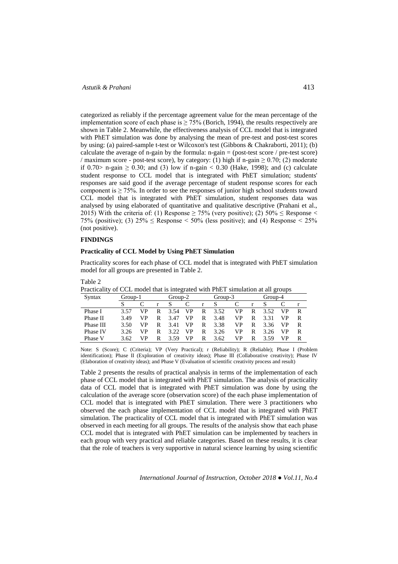categorized as reliably if the percentage agreement value for the mean percentage of the implementation score of each phase is  $\geq 75\%$  (Borich, 1994), the results respectively are shown in Table 2. Meanwhile, the effectiveness analysis of CCL model that is integrated with PhET simulation was done by analysing the mean of pre-test and post-test scores by using: (a) paired-sample t-test or Wilcoxon's test (Gibbons & Chakraborti, 2011); (b) calculate the average of n-gain by the formula:  $n-gain = (post-test score / pre-test score)$ / maximum score - post-test score), by category: (1) high if n-gain  $\geq$  0.70; (2) moderate if 0.70> n-gain  $\geq$  0.30; and (3) low if n-gain < 0.30 (Hake, 1998); and (c) calculate student response to CCL model that is integrated with PhET simulation; students' responses are said good if the average percentage of student response scores for each component is  $\geq$  75%. In order to see the responses of junior high school students toward CCL model that is integrated with PhET simulation, student responses data was analysed by using elaborated of quantitative and qualitative descriptive (Prahani et al., 2015) With the criteria of: (1) Response  $\geq$  75% (very positive); (2) 50%  $\leq$  Response  $\leq$ 75% (positive); (3)  $25\% \leq$  Response  $\leq 50\%$  (less positive); and (4) Response  $\leq 25\%$ (not positive).

# **FINDINGS**

### **Practicality of CCL Model by Using PhET Simulation**

Practicality scores for each phase of CCL model that is integrated with PhET simulation model for all groups are presented in Table 2.

| able |  |
|------|--|
|------|--|

| Practicality of CCL model that is integrated with PhET simulation at all groups |  |
|---------------------------------------------------------------------------------|--|
|---------------------------------------------------------------------------------|--|

| Syntax    | Group-1 |    | Group-2 |      |    |   | Group-3 |    |   | Group-4 |    |   |  |
|-----------|---------|----|---------|------|----|---|---------|----|---|---------|----|---|--|
|           |         |    | r       |      |    | r |         |    |   |         |    |   |  |
| Phase I   | 3.57    | VP | R       | 3.54 | VP | R | 3.52    | VP | R | 3.52    | VP | R |  |
| Phase II  | 3.49    | VP | R       | 3.47 | VP | R | 3.48    | VP | R | 3.31    | VP | R |  |
| Phase III | 3.50    | VP | R       | 3.41 | VP | R | 3.38    | VP | R | 3.36    | VP | R |  |
| Phase IV  | 3.26    | VP | R       | 3.22 | VP | R | 3.26    | VP | R | 3.26    | VP | R |  |
| Phase V   | 3.62    | VP | R       | 3.59 | VP | R | 3.62    | VP | R | 3.59    | VP | R |  |

Note: S (Score); C (Criteria); VP (Very Practical); r (Reliability); R (Reliable); Phase I (Problem identification); Phase II (Exploration of creativity ideas); Phase III (Collaborative creativity); Phase IV (Elaboration of creativity ideas); and Phase V (Evaluation of scientific creativity process and result)

Table 2 presents the results of practical analysis in terms of the implementation of each phase of CCL model that is integrated with PhET simulation. The analysis of practicality data of CCL model that is integrated with PhET simulation was done by using the calculation of the average score (observation score) of the each phase implementation of CCL model that is integrated with PhET simulation. There were 3 practitioners who observed the each phase implementation of CCL model that is integrated with PhET simulation. The practicality of CCL model that is integrated with PhET simulation was observed in each meeting for all groups. The results of the analysis show that each phase CCL model that is integrated with PhET simulation can be implemented by teachers in each group with very practical and reliable categories. Based on these results, it is clear that the role of teachers is very supportive in natural science learning by using scientific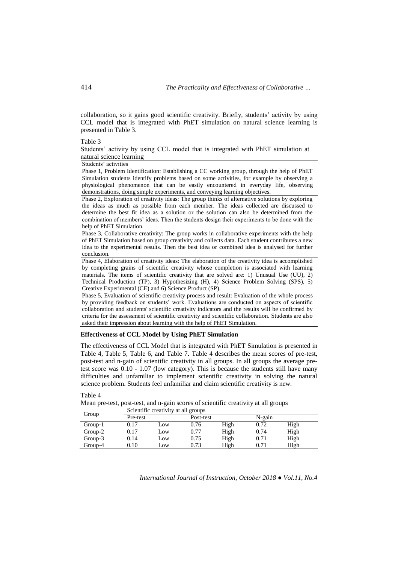collaboration, so it gains good scientific creativity. Briefly, students' activity by using CCL model that is integrated with PhET simulation on natural science learning is presented in Table 3.

Table 3

Students' activity by using CCL model that is integrated with PhET simulation at natural science learning

Students' activities

Phase 1, Problem Identification: Establishing a CC working group, through the help of PhET Simulation students identify problems based on some activities, for example by observing a physiological phenomenon that can be easily encountered in everyday life, observing demonstrations, doing simple experiments, and conveying learning objectives.

Phase 2, Exploration of creativity ideas: The group thinks of alternative solutions by exploring the ideas as much as possible from each member. The ideas collected are discussed to determine the best fit idea as a solution or the solution can also be determined from the combination of members' ideas. Then the students design their experiments to be done with the help of PhET Simulation.

Phase 3, Collaborative creativity: The group works in collaborative experiments with the help of PhET Simulation based on group creativity and collects data. Each student contributes a new idea to the experimental results. Then the best idea or combined idea is analysed for further conclusion.

Phase 4, Elaboration of creativity ideas: The elaboration of the creativity idea is accomplished by completing grains of scientific creativity whose completion is associated with learning materials. The items of scientific creativity that are solved are: 1) Unusual Use (UU), 2) Technical Production (TP), 3) Hypothesizing (H), 4) Science Problem Solving (SPS), 5) Creative Experimental (CE) and 6) Science Product (SP).

Phase 5, Evaluation of scientific creativity process and result: Evaluation of the whole process by providing feedback on students' work. Evaluations are conducted on aspects of scientific collaboration and students' scientific creativity indicators and the results will be confirmed by criteria for the assessment of scientific creativity and scientific collaboration. Students are also asked their impression about learning with the help of PhET Simulation.

# **Effectiveness of CCL Model by Using PhET Simulation**

The effectiveness of CCL Model that is integrated with PhET Simulation is presented in Table 4, Table 5, Table 6, and Table 7. Table 4 describes the mean scores of pre-test, post-test and n-gain of scientific creativity in all groups. In all groups the average pretest score was 0.10 - 1.07 (low category). This is because the students still have many difficulties and unfamiliar to implement scientific creativity in solving the natural science problem. Students feel unfamiliar and claim scientific creativity is new.

| them pro tool, post tool, and if gain society of scientific creativity at an groups |          |                                     |           |      |        |      |  |  |  |  |  |  |
|-------------------------------------------------------------------------------------|----------|-------------------------------------|-----------|------|--------|------|--|--|--|--|--|--|
| Group                                                                               |          | Scientific creativity at all groups |           |      |        |      |  |  |  |  |  |  |
|                                                                                     | Pre-test |                                     | Post-test |      | N-gain |      |  |  |  |  |  |  |
| Group-1                                                                             | 0.17     | Low                                 | 0.76      | High | 0.72   | High |  |  |  |  |  |  |
| Group-2                                                                             | 0.17     | Low                                 | 0.77      | High | 0.74   | High |  |  |  |  |  |  |
| Group-3                                                                             | 0.14     | Low                                 | 0.75      | High | 0.71   | High |  |  |  |  |  |  |
| Group-4                                                                             | 0.10     | Low                                 | 0.73      | High | 0.71   | High |  |  |  |  |  |  |

Table 4

Mean pre-test, post-test, and n-gain scores of scientific creativity at all groups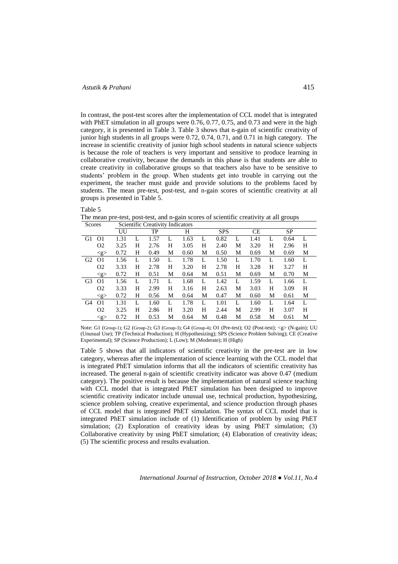In contrast, the post-test scores after the implementation of CCL model that is integrated with PhET simulation in all groups were 0.76, 0.77, 0.75, and 0.73 and were in the high category, it is presented in Table 3. Table 3 shows that n-gain of scientific creativity of junior high students in all groups were 0.72, 0.74, 0.71, and 0.71 in high category. The increase in scientific creativity of junior high school students in natural science subjects is because the role of teachers is very important and sensitive to produce learning in collaborative creativity, because the demands in this phase is that students are able to create creativity in collaborative groups so that teachers also have to be sensitive to students' problem in the group. When students get into trouble in carrying out the experiment, the teacher must guide and provide solutions to the problems faced by students. The mean pre-test, post-test, and n-gain scores of scientific creativity at all groups is presented in Table 5.

Table 5

The mean pre-test, post-test, and n-gain scores of scientific creativity at all groups

| Scores         |                 |      |   | Scientific Creativity Indicators |   |      |   |            |   |           |   |           |   |
|----------------|-----------------|------|---|----------------------------------|---|------|---|------------|---|-----------|---|-----------|---|
|                |                 | UU   |   | TP                               |   | Н    |   | <b>SPS</b> |   | <b>CE</b> |   | <b>SP</b> |   |
| G1             | O <sub>1</sub>  | 1.31 |   | 1.57                             | L | 1.63 | L | 0.82       |   | 1.41      | L | 0.64      | L |
|                | O <sub>2</sub>  | 3.25 | H | 2.76                             | H | 3.05 | Н | 2.40       | М | 3.20      | H | 2.96      | H |
|                | $\langle$ g $>$ | 0.72 | Н | 0.49                             | М | 0.60 | М | 0.50       | М | 0.69      | М | 0.69      | М |
| G <sub>2</sub> | O <sub>1</sub>  | 1.56 | L | 1.50                             | L | 1.78 | L | 1.50       | L | 1.70      | L | 1.60      | L |
|                | O <sub>2</sub>  | 3.33 | Н | 2.78                             | Н | 3.20 | H | 2.78       | Н | 3.28      | H | 3.27      | H |
|                | $\langle$ g>    | 0.72 | Н | 0.51                             | М | 0.64 | М | 0.51       | М | 0.69      | М | 0.70      | М |
| G <sub>3</sub> | O <sub>1</sub>  | 1.56 | L | 1.71                             | L | 1.68 | L | 1.42       | L | 1.59      | L | 1.66      | L |
|                | O <sub>2</sub>  | 3.33 | H | 2.99                             | H | 3.16 | Н | 2.63       | М | 3.03      | H | 3.09      | Н |
|                | $\leq$ g $>$    | 0.72 | Н | 0.56                             | М | 0.64 | М | 0.47       | М | 0.60      | М | 0.61      | М |
| G <sub>4</sub> | O <sub>1</sub>  | 1.31 | L | 1.60                             | L | 1.78 | L | 1.01       | L | 1.60      | L | 1.64      | L |
|                | O <sub>2</sub>  | 3.25 | H | 2.86                             | H | 3.20 | H | 2.44       | М | 2.99      | H | 3.07      | H |
|                | $\langle$ g>    | 0.72 | Н | 0.53                             | М | 0.64 | М | 0.48       | М | 0.58      | М | 0.61      | М |

Note: G1 (Group-1); G2 (Group-2); G3 (Group-3); G4 (Group-4); O1 (Pre-test); O2 (Post-test); <g> (N-gain); UU (Unusual Use); TP (Technical Production); H (Hypothesizing); SPS (Science Problem Solving); CE (Creative Experimental); SP (Science Production); L (Low); M (Moderate); H (High)

Table 5 shows that all indicators of scientific creativity in the pre-test are in low category, whereas after the implementation of science learning with the CCL model that is integrated PhET simulation informs that all the indicators of scientific creativity has increased. The general n-gain of scientific creativity indicator was above 0.47 (medium category). The positive result is because the implementation of natural science teaching with CCL model that is integrated PhET simulation has been designed to improve scientific creativity indicator include unusual use, technical production, hypothesizing, science problem solving, creative experimental, and science production through phases of CCL model that is integrated PhET simulation. The syntax of CCL model that is integrated PhET simulation include of (1) Identification of problem by using PhET simulation; (2) Exploration of creativity ideas by using PhET simulation; (3) Collaborative creativity by using PhET simulation; (4) Elaboration of creativity ideas; (5) The scientific process and results evaluation.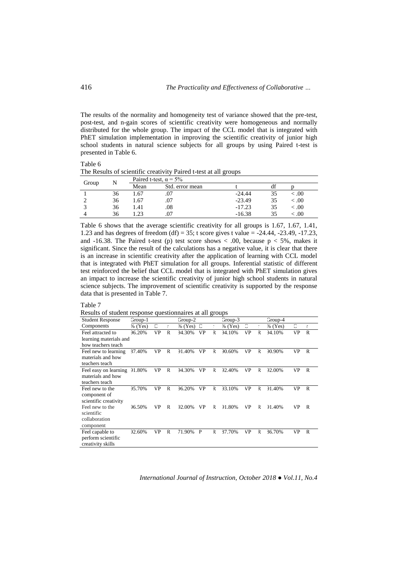The results of the normality and homogeneity test of variance showed that the pre-test, post-test, and n-gain scores of scientific creativity were homogeneous and normally distributed for the whole group. The impact of the CCL model that is integrated with PhET simulation implementation in improving the scientific creativity of junior high school students in natural science subjects for all groups by using Paired t-test is presented in Table 6.

#### Table 6

The Results of scientific creativity Paired t-test at all groups

| Group |    | Paired t-test, $\alpha = 5\%$ |                 |          |    |        |  |  |  |  |  |  |
|-------|----|-------------------------------|-----------------|----------|----|--------|--|--|--|--|--|--|
|       |    | Mean                          | Std. error mean |          | ΩI |        |  |  |  |  |  |  |
|       | 36 | . .67                         |                 | $-24.44$ |    | <.00   |  |  |  |  |  |  |
|       | 36 | 1.67                          | .07             | $-23.49$ |    | < 0.00 |  |  |  |  |  |  |
|       | 36 | 1.41                          | .08             | $-17.23$ | 35 | < 0.00 |  |  |  |  |  |  |
|       | 36 | .23                           |                 | $-16.38$ |    | .00    |  |  |  |  |  |  |

Table 6 shows that the average scientific creativity for all groups is 1.67, 1.67, 1.41, 1.23 and has degrees of freedom (df) = 35; t score gives t value = -24.44, -23.49, -17.23, and -16.38. The Paired t-test (p) test score shows  $< .00$ , because  $p < 5\%$ , makes it significant. Since the result of the calculations has a negative value, it is clear that there is an increase in scientific creativity after the application of learning with CCL model that is integrated with PhET simulation for all groups. Inferential statistic of different test reinforced the belief that CCL model that is integrated with PhET simulation gives an impact to increase the scientific creativity of junior high school students in natural science subjects. The improvement of scientific creativity is supported by the response data that is presented in Table 7.

### Table 7

Results of student response questionnaires at all groups

| <b>Student Response</b> | Group-1 |    |   | Group-2 |    |   | Group-3   |    |   | Group-4       |    |    |
|-------------------------|---------|----|---|---------|----|---|-----------|----|---|---------------|----|----|
| Components              | % (Yes) | C  |   | % (Yes) | C  |   | $%$ (Yes) | С  | ſ | % (Yes)       | C  | r  |
| Feel attracted to       | 96.20%  | VP | R | 94.30%  | VP | R | 94.10%    | VP | R | 94.10%        | VP | R  |
| learning materials and  |         |    |   |         |    |   |           |    |   |               |    |    |
| how teachers teach      |         |    |   |         |    |   |           |    |   |               |    |    |
| Feel new to learning    | 37.40%  | VP | R | 91.40%  | VP | R | 90.60%    | VP | R | 90.90%        | VP | R  |
| materials and how       |         |    |   |         |    |   |           |    |   |               |    |    |
| teachers teach          |         |    |   |         |    |   |           |    |   |               |    |    |
| Feel easy on learning   | 91.80%  | VP | R | 94.30%  | VP | R | 92.40%    | VP | R | <b>92.00%</b> | VP | R. |
| materials and how       |         |    |   |         |    |   |           |    |   |               |    |    |
| teachers teach          |         |    |   |         |    |   |           |    |   |               |    |    |
| Feel new to the         | 95.70%  | VP | R | 96.20%  | VP | R | 93.10%    | VP | R | 91.40%        | VP | R  |
| component of            |         |    |   |         |    |   |           |    |   |               |    |    |
| scientific creativity   |         |    |   |         |    |   |           |    |   |               |    |    |
| Feel new to the         | 96.50%  | VP | R | 92.00%  | VP | R | 91.80%    | VP | R | 91.40%        | VP | R  |
| scientific              |         |    |   |         |    |   |           |    |   |               |    |    |
| collaboration           |         |    |   |         |    |   |           |    |   |               |    |    |
| component               |         |    |   |         |    |   |           |    |   |               |    |    |
| Feel capable to         | 92.60%  | VP | R | 71.90%  | P  | R | 37.70%    | VP | R | 36.70%        | VP | R. |
| perform scientific      |         |    |   |         |    |   |           |    |   |               |    |    |
| creativity skills       |         |    |   |         |    |   |           |    |   |               |    |    |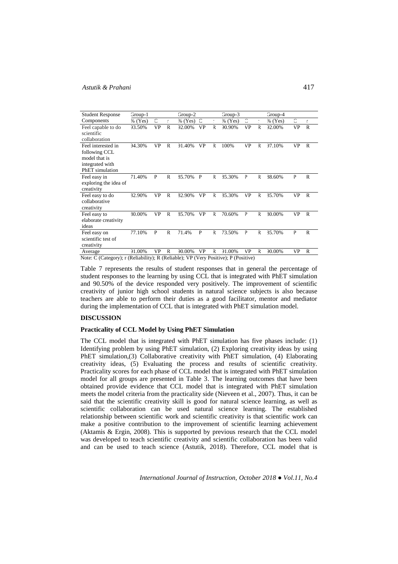| <b>Student Response</b> | Group-1   |    |   | Group-2   |    |    | Group-3 |    |    | Group-4           |    |    |
|-------------------------|-----------|----|---|-----------|----|----|---------|----|----|-------------------|----|----|
| Components              | $%$ (Yes) | C  |   | $%$ (Yes) | С  | r. | % (Yes) | C  | t. | $%$ (Yes)         | C  | r. |
| Feel capable to do      | 93.50%    | VP | R | 92.00%    | VP | R. | 90.90%  | VP | R  | 92.00%            | VP | R  |
| scientific              |           |    |   |           |    |    |         |    |    |                   |    |    |
| collaboration           |           |    |   |           |    |    |         |    |    |                   |    |    |
| Feel interested in      | 94.30%    | VP | R | 91.40%    | VP | R  | 100%    | VP | R  | <sup>37.10%</sup> | VP | R  |
| following CCL           |           |    |   |           |    |    |         |    |    |                   |    |    |
| model that is           |           |    |   |           |    |    |         |    |    |                   |    |    |
| integrated with         |           |    |   |           |    |    |         |    |    |                   |    |    |
| PhET simulation         |           |    |   |           |    |    |         |    |    |                   |    |    |
| Feel easy in            | 71.40%    | P  | R | 35.70%    | P  | R  | 35.30%  | P  | R  | 38.60%            | P  | R  |
| exploring the idea of   |           |    |   |           |    |    |         |    |    |                   |    |    |
| creativity              |           |    |   |           |    |    |         |    |    |                   |    |    |
| Feel easy to do         | 32.90%    | VP | R | 32.90%    | VP | R. | 35.30%  | VP | R  | 35.70%            | VP | R  |
| collaborative           |           |    |   |           |    |    |         |    |    |                   |    |    |
| creativity              |           |    |   |           |    |    |         |    |    |                   |    |    |
| Feel easy to            | 30.00%    | VP | R | 35.70%    | VP | R. | 70.60%  | P  | R  | 30.00%            | VP | R  |
| elaborate creativity    |           |    |   |           |    |    |         |    |    |                   |    |    |
| ideas                   |           |    |   |           |    |    |         |    |    |                   |    |    |
| Feel easy on            | 77.10%    | P  | R | 71.4%     | P  | R. | 73.50%  | P  | R  | 35.70%            | P  | R. |
| scientific test of      |           |    |   |           |    |    |         |    |    |                   |    |    |
| creativity              |           |    |   |           |    |    |         |    |    |                   |    |    |
| Average                 | 91.00%    | VP | R | 90.00%    | VP | R  | 91.00%  | VP | R  | 90.00%            | VP | R  |

Note: C (Category); r (Reliability); R (Reliable); VP (Very Positive); P (Positive)

Table 7 represents the results of student responses that in general the percentage of student responses to the learning by using CCL that is integrated with PhET simulation and 90.50% of the device responded very positively. The improvement of scientific creativity of junior high school students in natural science subjects is also because teachers are able to perform their duties as a good facilitator, mentor and mediator during the implementation of CCL that is integrated with PhET simulation model.

### **DISCUSSION**

# **Practicality of CCL Model by Using PhET Simulation**

The CCL model that is integrated with PhET simulation has five phases include: (1) Identifying problem by using PhET simulation, (2) Exploring creativity ideas by using PhET simulation,(3) Collaborative creativity with PhET simulation, (4) Elaborating creativity ideas, (5) Evaluating the process and results of scientific creativity. Practicality scores for each phase of CCL model that is integrated with PhET simulation model for all groups are presented in Table 3. The learning outcomes that have been obtained provide evidence that CCL model that is integrated with PhET simulation meets the model criteria from the practicality side (Nieveen et al., 2007). Thus, it can be said that the scientific creativity skill is good for natural science learning, as well as scientific collaboration can be used natural science learning. The established relationship between scientific work and scientific creativity is that scientific work can make a positive contribution to the improvement of scientific learning achievement (Aktamis & Ergin, 2008). This is supported by previous research that the CCL model was developed to teach scientific creativity and scientific collaboration has been valid and can be used to teach science (Astutik, 2018). Therefore, CCL model that is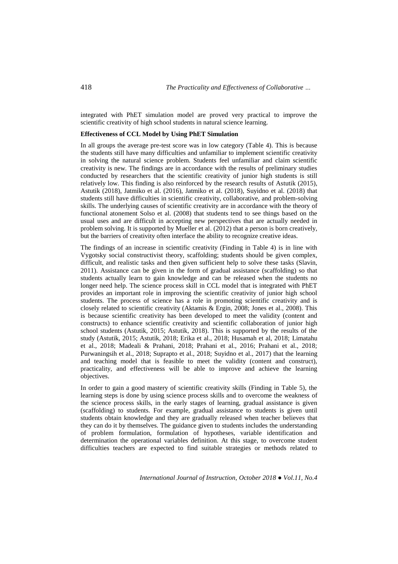integrated with PhET simulation model are proved very practical to improve the scientific creativity of high school students in natural science learning.

# **Effectiveness of CCL Model by Using PhET Simulation**

In all groups the average pre-test score was in low category (Table 4). This is because the students still have many difficulties and unfamiliar to implement scientific creativity in solving the natural science problem. Students feel unfamiliar and claim scientific creativity is new. The findings are in accordance with the results of preliminary studies conducted by researchers that the scientific creativity of junior high students is still relatively low. This finding is also reinforced by the research results of Astutik (2015), Astutik (2018), Jatmiko et al. (2016), Jatmiko et al. (2018), Suyidno et al. (2018) that students still have difficulties in scientific creativity, collaborative, and problem-solving skills. The underlying causes of scientific creativity are in accordance with the theory of functional atonement Solso et al. (2008) that students tend to see things based on the usual uses and are difficult in accepting new perspectives that are actually needed in problem solving. It is supported by Mueller et al. (2012) that a person is born creatively, but the barriers of creativity often interface the ability to recognize creative ideas.

The findings of an increase in scientific creativity (Finding in Table 4) is in line with Vygotsky social constructivist theory, scaffolding; students should be given complex, difficult, and realistic tasks and then given sufficient help to solve these tasks (Slavin, 2011). Assistance can be given in the form of gradual assistance (scaffolding) so that students actually learn to gain knowledge and can be released when the students no longer need help. The science process skill in CCL model that is integrated with PhET provides an important role in improving the scientific creativity of junior high school students. The process of science has a role in promoting scientific creativity and is closely related to scientific creativity (Aktamis & Ergin, 2008; Jones et al., 2008). This is because scientific creativity has been developed to meet the validity (content and constructs) to enhance scientific creativity and scientific collaboration of junior high school students (Astutik, 2015; Astutik, 2018). This is supported by the results of the study (Astutik, 2015; Astutik, 2018; Erika et al., 2018; Husamah et al, 2018; Limatahu et al., 2018; Madeali & Prahani, 2018; Prahani et al., 2016; Prahani et al., 2018; Purwaningsih et al., 2018; Suprapto et al., 2018; Suyidno et al., 2017) that the learning and teaching model that is feasible to meet the validity (content and construct), practicality, and effectiveness will be able to improve and achieve the learning objectives.

In order to gain a good mastery of scientific creativity skills (Finding in Table 5), the learning steps is done by using science process skills and to overcome the weakness of the science process skills, in the early stages of learning, gradual assistance is given (scaffolding) to students. For example, gradual assistance to students is given until students obtain knowledge and they are gradually released when teacher believes that they can do it by themselves. The guidance given to students includes the understanding of problem formulation, formulation of hypotheses, variable identification and determination the operational variables definition. At this stage, to overcome student difficulties teachers are expected to find suitable strategies or methods related to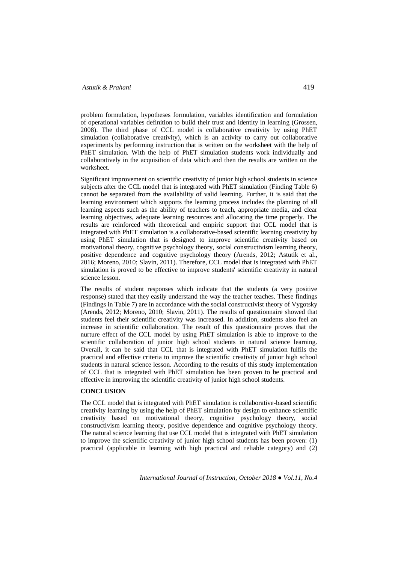problem formulation, hypotheses formulation, variables identification and formulation of operational variables definition to build their trust and identity in learning (Grossen, 2008). The third phase of CCL model is collaborative creativity by using PhET simulation (collaborative creativity), which is an activity to carry out collaborative experiments by performing instruction that is written on the worksheet with the help of PhET simulation. With the help of PhET simulation students work individually and collaboratively in the acquisition of data which and then the results are written on the worksheet.

Significant improvement on scientific creativity of junior high school students in science subjects after the CCL model that is integrated with PhET simulation (Finding Table 6) cannot be separated from the availability of valid learning. Further, it is said that the learning environment which supports the learning process includes the planning of all learning aspects such as the ability of teachers to teach, appropriate media, and clear learning objectives, adequate learning resources and allocating the time properly. The results are reinforced with theoretical and empiric support that CCL model that is integrated with PhET simulation is a collaborative-based scientific learning creativity by using PhET simulation that is designed to improve scientific creativity based on motivational theory, cognitive psychology theory, social constructivism learning theory, positive dependence and cognitive psychology theory (Arends, 2012; Astutik et al., 2016; Moreno, 2010; Slavin, 2011). Therefore, CCL model that is integrated with PhET simulation is proved to be effective to improve students' scientific creativity in natural science lesson.

The results of student responses which indicate that the students (a very positive response) stated that they easily understand the way the teacher teaches. These findings (Findings in Table 7) are in accordance with the social constructivist theory of Vygotsky (Arends, 2012; Moreno, 2010; Slavin, 2011). The results of questionnaire showed that students feel their scientific creativity was increased. In addition, students also feel an increase in scientific collaboration. The result of this questionnaire proves that the nurture effect of the CCL model by using PhET simulation is able to improve to the scientific collaboration of junior high school students in natural science learning. Overall, it can be said that CCL that is integrated with PhET simulation fulfils the practical and effective criteria to improve the scientific creativity of junior high school students in natural science lesson. According to the results of this study implementation of CCL that is integrated with PhET simulation has been proven to be practical and effective in improving the scientific creativity of junior high school students.

# **CONCLUSION**

The CCL model that is integrated with PhET simulation is collaborative-based scientific creativity learning by using the help of PhET simulation by design to enhance scientific creativity based on motivational theory, cognitive psychology theory, social constructivism learning theory, positive dependence and cognitive psychology theory. The natural science learning that use CCL model that is integrated with PhET simulation to improve the scientific creativity of junior high school students has been proven: (1) practical (applicable in learning with high practical and reliable category) and (2)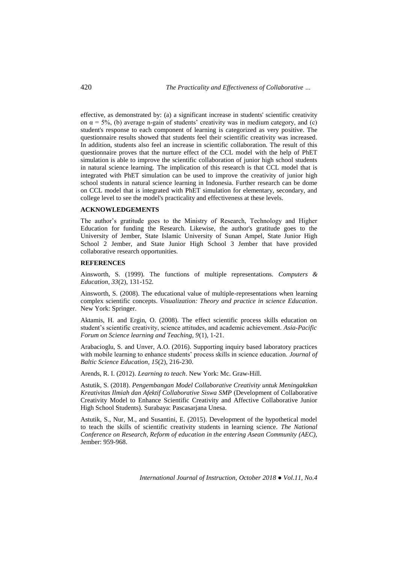effective, as demonstrated by: (a) a significant increase in students' scientific creativity on  $\alpha = 5\%$ , (b) average n-gain of students' creativity was in medium category, and (c) student's response to each component of learning is categorized as very positive. The questionnaire results showed that students feel their scientific creativity was increased. In addition, students also feel an increase in scientific collaboration. The result of this questionnaire proves that the nurture effect of the CCL model with the help of PhET simulation is able to improve the scientific collaboration of junior high school students in natural science learning. The implication of this research is that CCL model that is integrated with PhET simulation can be used to improve the creativity of junior high school students in natural science learning in Indonesia. Further research can be dome on CCL model that is integrated with PhET simulation for elementary, secondary, and college level to see the model's practicality and effectiveness at these levels.

# **ACKNOWLEDGEMENTS**

The author's gratitude goes to the Ministry of Research, Technology and Higher Education for funding the Research. Likewise, the author's gratitude goes to the University of Jember, State Islamic University of Sunan Ampel, State Junior High School 2 Jember, and State Junior High School 3 Jember that have provided collaborative research opportunities.

### **REFERENCES**

Ainsworth, S. (1999). The functions of multiple representations. *Computers & Education, 33*(2), 131-152.

Ainsworth, S. (2008). The educational value of multiple-representations when learning complex scientific concepts. *Visualization: Theory and practice in science Education*. New York: Springer.

Aktamis, H. and Ergin, O. (2008). The effect scientific process skills education on student's scientific creativity, science attitudes, and academic achievement. *Asia-Pacific Forum on Science learning and Teaching, 9*(1), 1-21.

Arabacioglu, S. and Unver, A.O. (2016). Supporting inquiry based laboratory practices with mobile learning to enhance students' process skills in science education. *Journal of Baltic Science Education*, *15*(2), 216-230.

Arends, R. I. (2012). *Learning to teach*. New York: Mc. Graw-Hill.

Astutik, S. (2018). *Pengembangan Model Collaborative Creativity untuk Meningaktkan Kreativitas Ilmiah dan Afektif Collaborative Siswa SMP* (Development of Collaborative Creativity Model to Enhance Scientific Creativity and Affective Collaborative Junior High School Students)*.* Surabaya: Pascasarjana Unesa.

Astutik, S., Nur, M., and Susantini, E. (2015). Development of the hypothetical model to teach the skills of scientific creativity students in learning science. *The National Conference on Research, Reform of education in the entering Asean Community (AEC),* Jember: 959-968.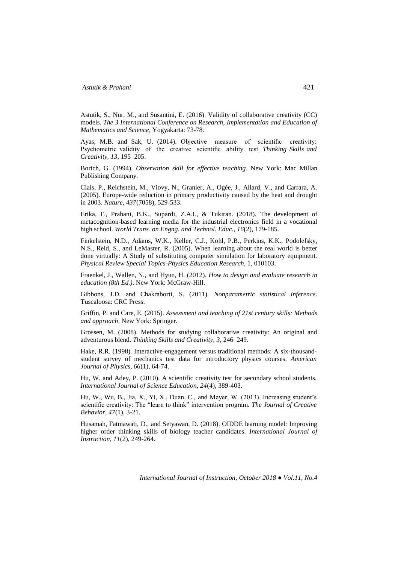Astutik, S., Nur, M., and Susantini, E. (2016). Validity of collaborative creativity (CC) models*. The 3 International Conference on Research, Implementation and Education of Mathematics and Science*, Yogyakarta: 73-78.

Ayas, M.B. and Sak, U. (2014). Objective measure of scientific creativity: Psychometric validity of the creative scientific ability test. *Thinking Skills and Creativity, 13*, 195–205.

Borich, G. (1994). *Observation skill for effective teaching*. New York: Mac Millan Publishing Company.

Ciais, P., Reichstein, M., Viovy, N., Granier, A., Ogée, J., Allard, V., and Carrara, A. (2005). Europe-wide reduction in primary productivity caused by the heat and drought in 2003. *Nature, 437*(7058), 529-533.

Erika, F., Prahani, B.K., Supardi, Z.A.I., & Tukiran. (2018). The development of metacognition-based learning media for the industrial electronics field in a vocational high school. *World Trans. on Engng. and Technol. Educ.*, *16*(2), 179-185.

Finkelstein, N.D., Adams, W.K., Keller, C.J., Kohl, P.B., Perkins, K.K., Podolefsky, N.S., Reid, S., and LeMaster, R. (2005). When learning about the real world is better done virtually: A Study of substituting computer simulation for laboratory equipment. *Physical Review Special Topics-Physics Education Research*, 1, 010103.

Fraenkel, J., Wallen, N., and Hyun, H. (2012). *How to design and evaluate research in education (8th Ed.)*. New York: McGraw-Hill.

Gibbons, J.D. and Chakraborti, S. (2011). *Nonparametric statistical inference*. Tuscaloosa: CRC Press.

Griffin, P. and Care, E. (2015). *Assessment and teaching of 21st century skills: Methods and approach*. New York: Springer.

Grossen, M. (2008). Methods for studying collaborative creativity: An original and adventurous blend. *Thinking Skills and Creativity*, *3*, 246–249.

Hake, R.R. (1998). Interactive-engagement versus traditional methods: A six-thousandstudent survey of mechanics test data for introductory physics courses. *American Journal of Physics, 66*(1), 64-74.

Hu, W. and Adey, P. (2010). A scientific creativity test for secondary school students. *International Journal of Science Education, 24*(4), 389-403.

Hu, W., Wu, B., Jia, X., Yi, X., Duan, C., and Meyer, W. (2013). Increasing student's scientific creativity: The "learn to think" intervention program. *The Journal of Creative Behavior, 47*(1), 3-21.

Husamah, Fatmawati, D., and Setyawan, D. (2018). OIDDE learning model: Improving higher order thinking skills of biology teacher candidates. *International Journal of Instruction*, *11*(2), 249-264.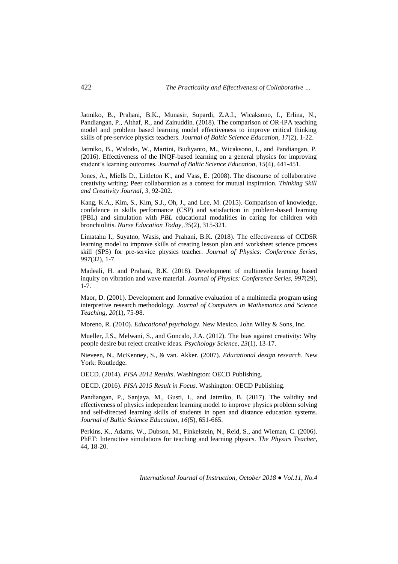Jatmiko, B., Prahani, B.K., Munasir, Supardi, Z.A.I., Wicaksono, I., Erlina, N., Pandiangan, P., Althaf, R., and Zainuddin. (2018). The comparison of OR-IPA teaching model and problem based learning model effectiveness to improve critical thinking skills of pre-service physics teachers. *Journal of Baltic Science Education, 17*(2), 1-22.

Jatmiko, B., Widodo, W., Martini, Budiyanto, M., Wicaksono, I., and Pandiangan, P. (2016). Effectiveness of the INQF-based learning on a general physics for improving student's learning outcomes. *Journal of Baltic Science Education*, *15*(4), 441-451.

Jones, A., Miells D., Littleton K., and Vass, E. (2008). The discourse of collaborative creativity writing: Peer collaboration as a context for mutual inspiration. *Thinking Skill and Creativity Journal*, *3*, 92-202.

Kang, K.A., Kim, S., Kim, S.J., Oh, J., and Lee, M. (2015). Comparison of knowledge, confidence in skills performance (CSP) and satisfaction in problem-based learning (PBL) and simulation with *PBL* educational modalities in caring for children with bronchiolitis. *Nurse Education Today, 35*(2), 315-321.

Limatahu I., Suyatno, Wasis, and Prahani, B.K. (2018). The effectiveness of CCDSR learning model to improve skills of creating lesson plan and worksheet science process skill (SPS) for pre-service physics teacher. *Journal of Physics: Conference Series, 997*(32), 1-7.

Madeali, H. and Prahani, B.K. (2018). Development of multimedia learning based inquiry on vibration and wave material. *Journal of Physics: Conference Series, 997*(29), 1-7.

Maor, D. (2001). Development and formative evaluation of a multimedia program using interpretive research methodology. *Journal of Computers in Mathematics and Science Teaching, 20*(1), 75-98.

Moreno, R. (2010). *Educational psychology*. New Mexico. John Wiley & Sons, Inc.

Mueller, J.S., Melwani, S., and Goncalo, J.A. (2012). The bias against creativity: Why people desire but reject creative ideas. *Psychology Science, 23*(1), 13-17.

Nieveen, N., McKenney, S., & van. Akker. (2007). *Educational design research*. New York: Routledge.

OECD. (2014). *PISA 2012 Results*. Washington: OECD Publishing.

OECD. (2016). *PISA 2015 Result in Focus*. Washington: OECD Publishing.

Pandiangan, P., Sanjaya, M., Gusti, I., and Jatmiko, B. (2017). The validity and effectiveness of physics independent learning model to improve physics problem solving and self-directed learning skills of students in open and distance education systems. *Journal of Baltic Science Education*, *16*(5), 651-665.

Perkins, K., Adams, W., Dubson, M., Finkelstein, N., Reid, S., and Wieman, C. (2006). PhET: Interactive simulations for teaching and learning physics. *The Physics Teacher*, 44, 18-20.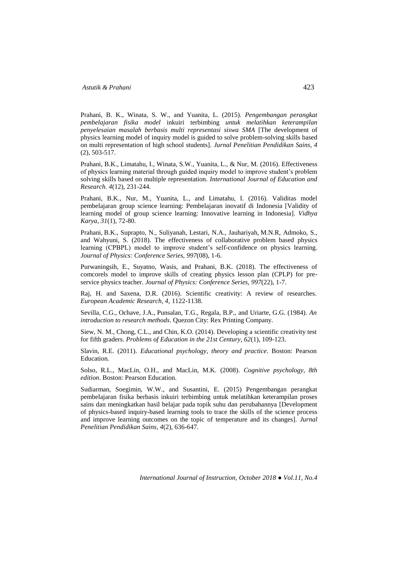Prahani, B. K., Winata, S. W., and Yuanita, L. (2015). *Pengembangan perangkat pembelajaran fisika model* inkuiri terbimbing *untuk melatihkan keterampilan penyelesaian masalah berbasis multi representasi siswa SMA* [The development of physics learning model of inquiry model is guided to solve problem-solving skills based on multi representation of high school students]. *Jurnal Penelitian Pendidikan Sains*, *4*  (2), 503-517.

Prahani, B.K., Limatahu, I., Winata, S.W., Yuanita, L., & Nur, M. (2016). Effectiveness of physics learning material through guided inquiry model to improve student's problem solving skills based on multiple representation. *International Journal of Education and Research. 4*(12), 231-244.

Prahani, B.K., Nur, M., Yuanita, L., and Limatahu, I. (2016). Validitas model pembelajaran group science learning: Pembelajaran inovatif di Indonesia [Validity of learning model of group science learning: Innovative learning in Indonesia]. *Vidhya Karya*, *31*(1), 72-80.

Prahani, B.K., Suprapto, N., Suliyanah, Lestari, N.A., Jauhariyah, M.N.R, Admoko, S., and Wahyuni, S. (2018). The effectiveness of collaborative problem based physics learning (CPBPL) model to improve student's self-confidence on physics learning. *Journal of Physics: Conference Series, 997*(08), 1-6.

Purwaningsih, E., Suyatno, Wasis, and Prahani, B.K. (2018). The effectiveness of comcorels model to improve skills of creating physics lesson plan (CPLP) for preservice physics teacher. *Journal of Physics: Conference Series, 997*(22), 1-7.

Raj, H. and Saxena, D.R. (2016). Scientific creativity: A review of researches. *European Academic Research, 4,* 1122-1138.

Sevilla, C.G., Ochave, J.A., Punsalan, T.G., Regala, B.P., and Uriarte, G.G. (1984). *An introduction to research methods*. Quezon City: Rex Printing Company.

Siew, N. M., Chong, C.L., and Chin, K.O. (2014). Developing a scientific creativity test for fifth graders. *Problems of Education in the 21st Century, 62*(1), 109-123.

Slavin, R.E. (2011). *Educational psychology, theory and practice*. Boston: Pearson Education.

Solso, R.L., MacLin, O.H., and MacLin, M.K. (2008). *Cognitive psychology, 8th edition*. Boston: Pearson Education.

Sudiarman, Soegimin, W.W., and Susantini, E. (2015) Pengembangan perangkat pembelajaran fisika berbasis inkuiri terbimbing untuk melatihkan keterampilan proses sains dan meningkatkan hasil belajar pada topik suhu dan perubahannya [Development of physics-based inquiry-based learning tools to trace the skills of the science process and improve learning outcomes on the topic of temperature and its changes]. *Jurnal Penelitian Pendidikan Sains*, *4*(2), 636-647.